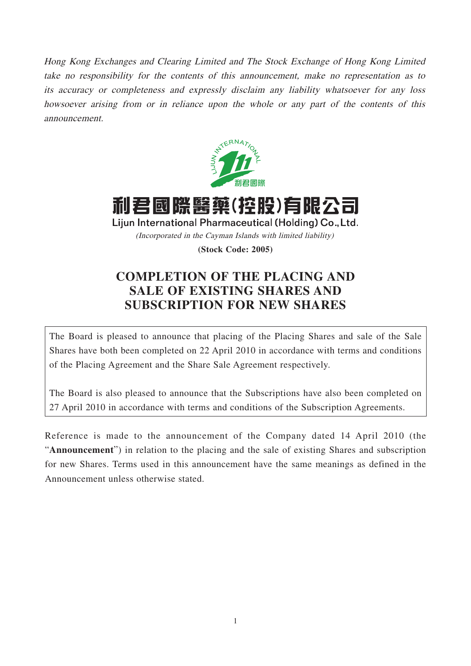Hong Kong Exchanges and Clearing Limited and The Stock Exchange of Hong Kong Limited take no responsibility for the contents of this announcement, make no representation as to its accuracy or completeness and expressly disclaim any liability whatsoever for any loss howsoever arising from or in reliance upon the whole or any part of the contents of this announcement.



利君國際醫藥(控股)有限公司 Lijun International Pharmaceutical (Holding) Co., Ltd. (Incorporated in the Cayman Islands with limited liability)

**(Stock Code: 2005)**

# **COMPLETION OF THE PLACING AND SALE OF EXISTING SHARES AND SUBSCRIPTION FOR NEW SHARES**

The Board is pleased to announce that placing of the Placing Shares and sale of the Sale Shares have both been completed on 22 April 2010 in accordance with terms and conditions of the Placing Agreement and the Share Sale Agreement respectively.

The Board is also pleased to announce that the Subscriptions have also been completed on 27 April 2010 in accordance with terms and conditions of the Subscription Agreements.

Reference is made to the announcement of the Company dated 14 April 2010 (the "**Announcement**") in relation to the placing and the sale of existing Shares and subscription for new Shares. Terms used in this announcement have the same meanings as defined in the Announcement unless otherwise stated.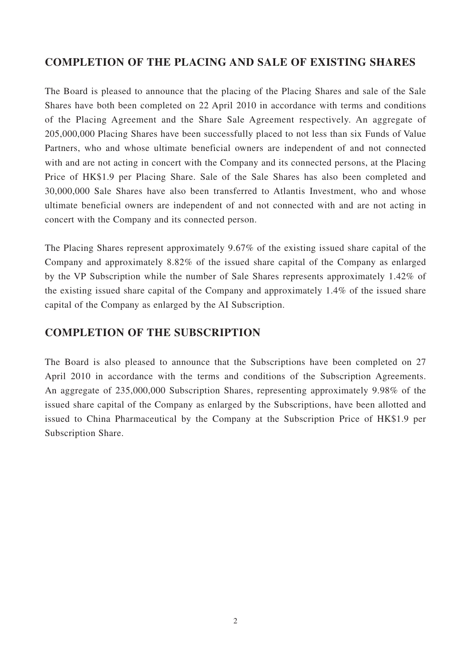# **COMPLETION OF THE PLACING AND SALE OF EXISTING SHARES**

The Board is pleased to announce that the placing of the Placing Shares and sale of the Sale Shares have both been completed on 22 April 2010 in accordance with terms and conditions of the Placing Agreement and the Share Sale Agreement respectively. An aggregate of 205,000,000 Placing Shares have been successfully placed to not less than six Funds of Value Partners, who and whose ultimate beneficial owners are independent of and not connected with and are not acting in concert with the Company and its connected persons, at the Placing Price of HK\$1.9 per Placing Share. Sale of the Sale Shares has also been completed and 30,000,000 Sale Shares have also been transferred to Atlantis Investment, who and whose ultimate beneficial owners are independent of and not connected with and are not acting in concert with the Company and its connected person.

The Placing Shares represent approximately 9.67% of the existing issued share capital of the Company and approximately 8.82% of the issued share capital of the Company as enlarged by the VP Subscription while the number of Sale Shares represents approximately 1.42% of the existing issued share capital of the Company and approximately 1.4% of the issued share capital of the Company as enlarged by the AI Subscription.

# **COMPLETION OF THE SUBSCRIPTION**

The Board is also pleased to announce that the Subscriptions have been completed on 27 April 2010 in accordance with the terms and conditions of the Subscription Agreements. An aggregate of 235,000,000 Subscription Shares, representing approximately 9.98% of the issued share capital of the Company as enlarged by the Subscriptions, have been allotted and issued to China Pharmaceutical by the Company at the Subscription Price of HK\$1.9 per Subscription Share.